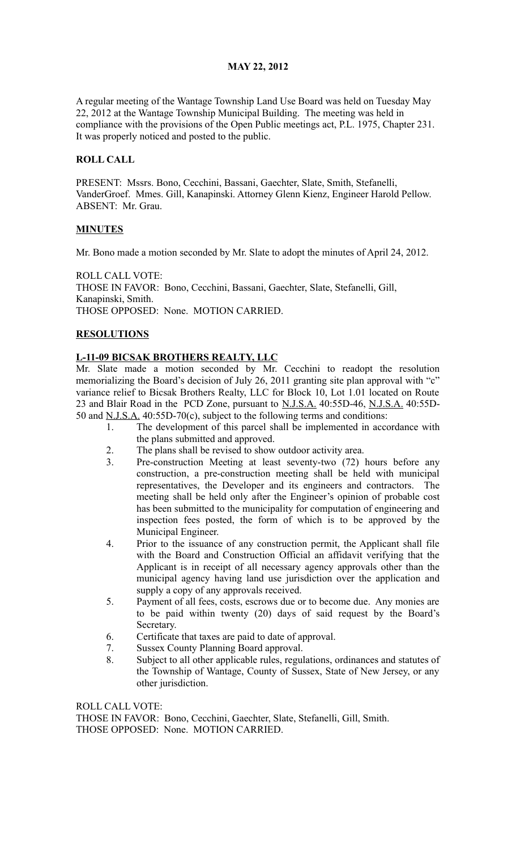# **MAY 22, 2012**

A regular meeting of the Wantage Township Land Use Board was held on Tuesday May 22, 2012 at the Wantage Township Municipal Building. The meeting was held in compliance with the provisions of the Open Public meetings act, P.L. 1975, Chapter 231. It was properly noticed and posted to the public.

## **ROLL CALL**

PRESENT: Mssrs. Bono, Cecchini, Bassani, Gaechter, Slate, Smith, Stefanelli, VanderGroef. Mmes. Gill, Kanapinski. Attorney Glenn Kienz, Engineer Harold Pellow. ABSENT: Mr. Grau.

### **MINUTES**

Mr. Bono made a motion seconded by Mr. Slate to adopt the minutes of April 24, 2012.

ROLL CALL VOTE: THOSE IN FAVOR: Bono, Cecchini, Bassani, Gaechter, Slate, Stefanelli, Gill, Kanapinski, Smith. THOSE OPPOSED: None. MOTION CARRIED.

### **RESOLUTIONS**

### **L-11-09 BICSAK BROTHERS REALTY, LLC**

Mr. Slate made a motion seconded by Mr. Cecchini to readopt the resolution memorializing the Board's decision of July 26, 2011 granting site plan approval with "c" variance relief to Bicsak Brothers Realty, LLC for Block 10, Lot 1.01 located on Route 23 and Blair Road in the PCD Zone, pursuant to N.J.S.A. 40:55D-46, N.J.S.A. 40:55D-50 and N.J.S.A. 40:55D-70(c), subject to the following terms and conditions:

- 1. The development of this parcel shall be implemented in accordance with the plans submitted and approved.
- 2. The plans shall be revised to show outdoor activity area.
- 3. Pre-construction Meeting at least seventy-two (72) hours before any construction, a pre-construction meeting shall be held with municipal representatives, the Developer and its engineers and contractors. The meeting shall be held only after the Engineer's opinion of probable cost has been submitted to the municipality for computation of engineering and inspection fees posted, the form of which is to be approved by the Municipal Engineer.
- 4. Prior to the issuance of any construction permit, the Applicant shall file with the Board and Construction Official an affidavit verifying that the Applicant is in receipt of all necessary agency approvals other than the municipal agency having land use jurisdiction over the application and supply a copy of any approvals received.
- 5. Payment of all fees, costs, escrows due or to become due. Any monies are to be paid within twenty (20) days of said request by the Board's Secretary.
- 6. Certificate that taxes are paid to date of approval.
- 7. Sussex County Planning Board approval.
- 8. Subject to all other applicable rules, regulations, ordinances and statutes of the Township of Wantage, County of Sussex, State of New Jersey, or any other jurisdiction.

ROLL CALL VOTE: THOSE IN FAVOR: Bono, Cecchini, Gaechter, Slate, Stefanelli, Gill, Smith. THOSE OPPOSED: None. MOTION CARRIED.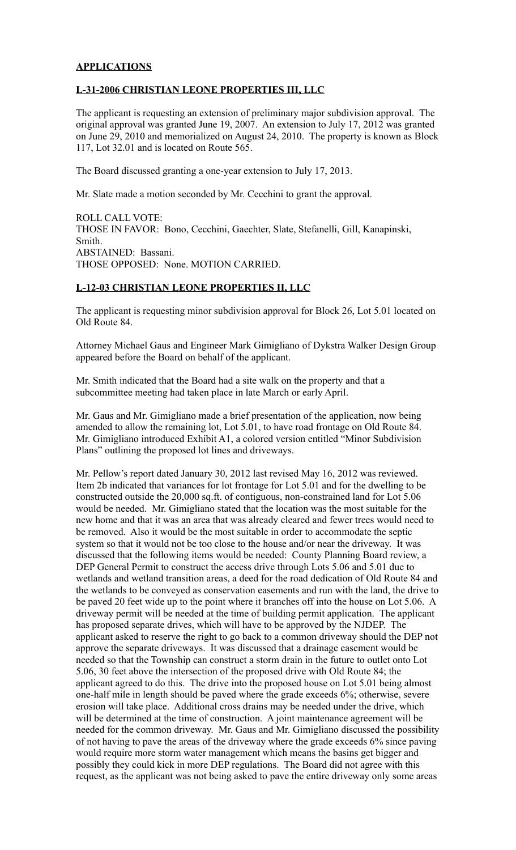### **APPLICATIONS**

#### **L-31-2006 CHRISTIAN LEONE PROPERTIES III, LLC**

The applicant is requesting an extension of preliminary major subdivision approval. The original approval was granted June 19, 2007. An extension to July 17, 2012 was granted on June 29, 2010 and memorialized on August 24, 2010. The property is known as Block 117, Lot 32.01 and is located on Route 565.

The Board discussed granting a one-year extension to July 17, 2013.

Mr. Slate made a motion seconded by Mr. Cecchini to grant the approval.

ROLL CALL VOTE: THOSE IN FAVOR: Bono, Cecchini, Gaechter, Slate, Stefanelli, Gill, Kanapinski, Smith. ABSTAINED: Bassani. THOSE OPPOSED: None. MOTION CARRIED.

# **L-12-03 CHRISTIAN LEONE PROPERTIES II, LLC**

The applicant is requesting minor subdivision approval for Block 26, Lot 5.01 located on Old Route 84.

Attorney Michael Gaus and Engineer Mark Gimigliano of Dykstra Walker Design Group appeared before the Board on behalf of the applicant.

Mr. Smith indicated that the Board had a site walk on the property and that a subcommittee meeting had taken place in late March or early April.

Mr. Gaus and Mr. Gimigliano made a brief presentation of the application, now being amended to allow the remaining lot, Lot 5.01, to have road frontage on Old Route 84. Mr. Gimigliano introduced Exhibit A1, a colored version entitled "Minor Subdivision Plans" outlining the proposed lot lines and driveways.

Mr. Pellow's report dated January 30, 2012 last revised May 16, 2012 was reviewed. Item 2b indicated that variances for lot frontage for Lot 5.01 and for the dwelling to be constructed outside the 20,000 sq.ft. of contiguous, non-constrained land for Lot 5.06 would be needed. Mr. Gimigliano stated that the location was the most suitable for the new home and that it was an area that was already cleared and fewer trees would need to be removed. Also it would be the most suitable in order to accommodate the septic system so that it would not be too close to the house and/or near the driveway. It was discussed that the following items would be needed: County Planning Board review, a DEP General Permit to construct the access drive through Lots 5.06 and 5.01 due to wetlands and wetland transition areas, a deed for the road dedication of Old Route 84 and the wetlands to be conveyed as conservation easements and run with the land, the drive to be paved 20 feet wide up to the point where it branches off into the house on Lot 5.06. A driveway permit will be needed at the time of building permit application. The applicant has proposed separate drives, which will have to be approved by the NJDEP. The applicant asked to reserve the right to go back to a common driveway should the DEP not approve the separate driveways. It was discussed that a drainage easement would be needed so that the Township can construct a storm drain in the future to outlet onto Lot 5.06, 30 feet above the intersection of the proposed drive with Old Route 84; the applicant agreed to do this. The drive into the proposed house on Lot 5.01 being almost one-half mile in length should be paved where the grade exceeds 6%; otherwise, severe erosion will take place. Additional cross drains may be needed under the drive, which will be determined at the time of construction. A joint maintenance agreement will be needed for the common driveway. Mr. Gaus and Mr. Gimigliano discussed the possibility of not having to pave the areas of the driveway where the grade exceeds 6% since paving would require more storm water management which means the basins get bigger and possibly they could kick in more DEP regulations. The Board did not agree with this request, as the applicant was not being asked to pave the entire driveway only some areas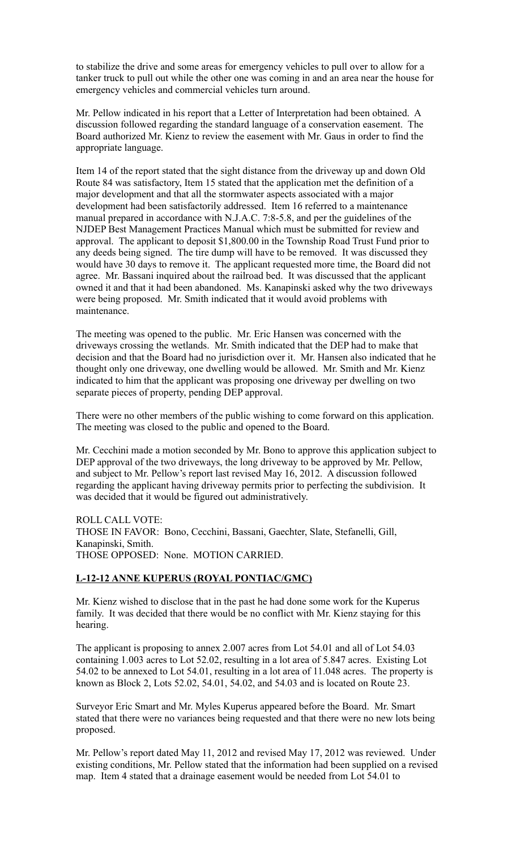to stabilize the drive and some areas for emergency vehicles to pull over to allow for a tanker truck to pull out while the other one was coming in and an area near the house for emergency vehicles and commercial vehicles turn around.

Mr. Pellow indicated in his report that a Letter of Interpretation had been obtained. A discussion followed regarding the standard language of a conservation easement. The Board authorized Mr. Kienz to review the easement with Mr. Gaus in order to find the appropriate language.

Item 14 of the report stated that the sight distance from the driveway up and down Old Route 84 was satisfactory, Item 15 stated that the application met the definition of a major development and that all the stormwater aspects associated with a major development had been satisfactorily addressed. Item 16 referred to a maintenance manual prepared in accordance with N.J.A.C. 7:8-5.8, and per the guidelines of the NJDEP Best Management Practices Manual which must be submitted for review and approval. The applicant to deposit \$1,800.00 in the Township Road Trust Fund prior to any deeds being signed. The tire dump will have to be removed. It was discussed they would have 30 days to remove it. The applicant requested more time, the Board did not agree. Mr. Bassani inquired about the railroad bed. It was discussed that the applicant owned it and that it had been abandoned. Ms. Kanapinski asked why the two driveways were being proposed. Mr. Smith indicated that it would avoid problems with maintenance.

The meeting was opened to the public. Mr. Eric Hansen was concerned with the driveways crossing the wetlands. Mr. Smith indicated that the DEP had to make that decision and that the Board had no jurisdiction over it. Mr. Hansen also indicated that he thought only one driveway, one dwelling would be allowed. Mr. Smith and Mr. Kienz indicated to him that the applicant was proposing one driveway per dwelling on two separate pieces of property, pending DEP approval.

There were no other members of the public wishing to come forward on this application. The meeting was closed to the public and opened to the Board.

Mr. Cecchini made a motion seconded by Mr. Bono to approve this application subject to DEP approval of the two driveways, the long driveway to be approved by Mr. Pellow, and subject to Mr. Pellow's report last revised May 16, 2012. A discussion followed regarding the applicant having driveway permits prior to perfecting the subdivision. It was decided that it would be figured out administratively.

ROLL CALL VOTE: THOSE IN FAVOR: Bono, Cecchini, Bassani, Gaechter, Slate, Stefanelli, Gill, Kanapinski, Smith. THOSE OPPOSED: None. MOTION CARRIED.

#### **L-12-12 ANNE KUPERUS (ROYAL PONTIAC/GMC)**

Mr. Kienz wished to disclose that in the past he had done some work for the Kuperus family. It was decided that there would be no conflict with Mr. Kienz staying for this hearing.

The applicant is proposing to annex 2.007 acres from Lot 54.01 and all of Lot 54.03 containing 1.003 acres to Lot 52.02, resulting in a lot area of 5.847 acres. Existing Lot 54.02 to be annexed to Lot 54.01, resulting in a lot area of 11.048 acres. The property is known as Block 2, Lots 52.02, 54.01, 54.02, and 54.03 and is located on Route 23.

Surveyor Eric Smart and Mr. Myles Kuperus appeared before the Board. Mr. Smart stated that there were no variances being requested and that there were no new lots being proposed.

Mr. Pellow's report dated May 11, 2012 and revised May 17, 2012 was reviewed. Under existing conditions, Mr. Pellow stated that the information had been supplied on a revised map. Item 4 stated that a drainage easement would be needed from Lot 54.01 to